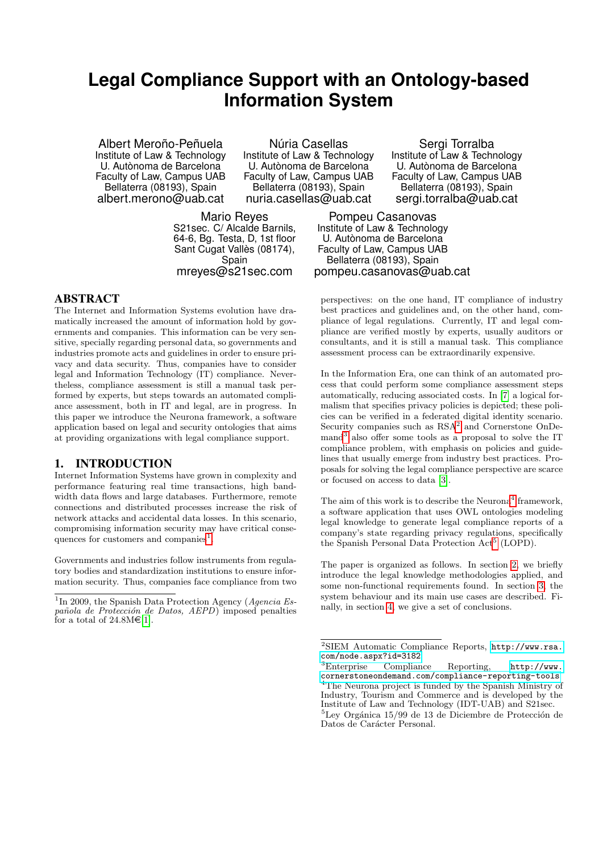# **Legal Compliance Support with an Ontology-based Information System**

Albert Meroño-Peñuela Institute of Law & Technology U. Autònoma de Barcelona Faculty of Law, Campus UAB Bellaterra (08193), Spain albert.merono@uab.cat

Núria Casellas Institute of Law & Technology U. Autònoma de Barcelona Faculty of Law, Campus UAB Bellaterra (08193), Spain nuria.casellas@uab.cat

Mario Reyes S21sec. C/ Alcalde Barnils, 64-6, Bg. Testa, D, 1st floor Sant Cugat Vallès (08174), Spain mreyes@s21sec.com

ABSTRACT

The Internet and Information Systems evolution have dramatically increased the amount of information hold by governments and companies. This information can be very sensitive, specially regarding personal data, so governments and industries promote acts and guidelines in order to ensure privacy and data security. Thus, companies have to consider legal and Information Technology (IT) compliance. Nevertheless, compliance assessment is still a manual task performed by experts, but steps towards an automated compliance assessment, both in IT and legal, are in progress. In this paper we introduce the Neurona framework, a software application based on legal and security ontologies that aims at providing organizations with legal compliance support.

## 1. INTRODUCTION

Internet Information Systems have grown in complexity and performance featuring real time transactions, high bandwidth data flows and large databases. Furthermore, remote connections and distributed processes increase the risk of network attacks and accidental data losses. In this scenario, compromising information security may have critical conse-quences for customers and companies<sup>[1](#page-0-0)</sup>.

Governments and industries follow instruments from regulatory bodies and standardization institutions to ensure information security. Thus, companies face compliance from two

Sergi Torralba Institute of Law & Technology U. Autònoma de Barcelona Faculty of Law, Campus UAB Bellaterra (08193), Spain sergi.torralba@uab.cat

Pompeu Casanovas Institute of Law & Technology U. Autònoma de Barcelona Faculty of Law, Campus UAB Bellaterra (08193), Spain pompeu.casanovas@uab.cat

perspectives: on the one hand, IT compliance of industry best practices and guidelines and, on the other hand, compliance of legal regulations. Currently, IT and legal compliance are verified mostly by experts, usually auditors or consultants, and it is still a manual task. This compliance assessment process can be extraordinarily expensive.

In the Information Era, one can think of an automated process that could perform some compliance assessment steps automatically, reducing associated costs. In [\[7\]](#page-1-1) a logical formalism that specifies privacy policies is depicted; these policies can be verified in a federated digital identity scenario. Security companies such as  $RSA^2$  $RSA^2$  and Cornerstone OnDe-mand<sup>[3](#page-0-2)</sup> also offer some tools as a proposal to solve the IT compliance problem, with emphasis on policies and guidelines that usually emerge from industry best practices. Proposals for solving the legal compliance perspective are scarce or focused on access to data [\[3\]](#page-1-2).

The aim of this work is to describe the Neurona<sup>[4](#page-0-3)</sup> framework, a software application that uses OWL ontologies modeling legal knowledge to generate legal compliance reports of a company's state regarding privacy regulations, specifically the Spanish Personal Data Protection Act<sup>[5](#page-0-4)</sup> (LOPD).

The paper is organized as follows. In section [2,](#page-1-3) we briefly introduce the legal knowledge methodologies applied, and some non-functional requirements found. In section [3,](#page-1-4) the system behaviour and its main use cases are described. Finally, in section [4,](#page-1-5) we give a set of conclusions.

<span id="page-0-0"></span><sup>&</sup>lt;sup>1</sup>In 2009, the Spanish Data Protection Agency (Agencia Española de Protección de Datos,  $AEPD$ ) imposed penalties for a total of  $24.8M \in [1]$  $24.8M \in [1]$ .

<span id="page-0-1"></span><sup>2</sup>SIEM Automatic Compliance Reports, [http://www.rsa.](http://www.rsa.com/node.aspx?id=3182) [com/node.aspx?id=3182](http://www.rsa.com/node.aspx?id=3182)

<span id="page-0-3"></span><span id="page-0-2"></span><sup>3</sup>Enterprise Compliance Reporting, [http://www.](http://www.cornerstoneondemand.com/compliance-reporting-tools) [cornerstoneondemand.com/compliance-reporting-tools](http://www.cornerstoneondemand.com/compliance-reporting-tools) <sup>4</sup>The Neurona project is funded by the Spanish Ministry of Industry, Tourism and Commerce and is developed by the Institute of Law and Technology (IDT-UAB) and S21sec.  ${}^{5}$ Ley Orgánica 15/99 de 13 de Diciembre de Protección de

<span id="page-0-4"></span>Datos de Carácter Personal.